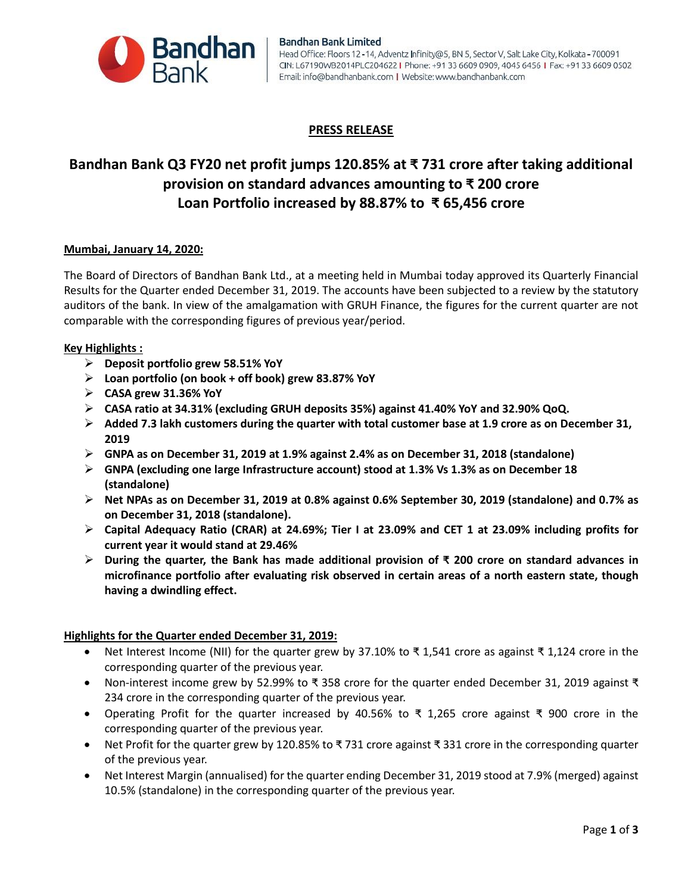

#### **Bandhan Bank Limited** Head Office: Floors 12-14, Adventz Infinity@5, BN 5, Sector V, Salt Lake City, Kolkata-700091 CIN: L67190WB2014PLC204622 | Phone: +91 33 6609 0909, 4045 6456 | Fax: +91 33 6609 0502 Email: info@bandhanbank.com | Website: www.bandhanbank.com

## **PRESS RELEASE**

# **Bandhan Bank Q3 FY20 net profit jumps 120.85% at ₹ 731 crore after taking additional provision on standard advances amounting to ₹ 200 crore Loan Portfolio increased by 88.87% to ₹ 65,456 crore**

### **Mumbai, January 14, 2020:**

The Board of Directors of Bandhan Bank Ltd., at a meeting held in Mumbai today approved its Quarterly Financial Results for the Quarter ended December 31, 2019. The accounts have been subjected to a review by the statutory auditors of the bank. In view of the amalgamation with GRUH Finance, the figures for the current quarter are not comparable with the corresponding figures of previous year/period.

### **Key Highlights :**

- **Deposit portfolio grew 58.51% YoY**
- **Loan portfolio (on book + off book) grew 83.87% YoY**
- **CASA grew 31.36% YoY**
- **CASA ratio at 34.31% (excluding GRUH deposits 35%) against 41.40% YoY and 32.90% QoQ.**
- **Added 7.3 lakh customers during the quarter with total customer base at 1.9 crore as on December 31, 2019**
- **GNPA as on December 31, 2019 at 1.9% against 2.4% as on December 31, 2018 (standalone)**
- **GNPA (excluding one large Infrastructure account) stood at 1.3% Vs 1.3% as on December 18 (standalone)**
- **Net NPAs as on December 31, 2019 at 0.8% against 0.6% September 30, 2019 (standalone) and 0.7% as on December 31, 2018 (standalone).**
- **Capital Adequacy Ratio (CRAR) at 24.69%; Tier I at 23.09% and CET 1 at 23.09% including profits for current year it would stand at 29.46%**
- **During the quarter, the Bank has made additional provision of ₹ 200 crore on standard advances in microfinance portfolio after evaluating risk observed in certain areas of a north eastern state, though having a dwindling effect.**

### **Highlights for the Quarter ended December 31, 2019:**

- $\bullet$  Net Interest Income (NII) for the quarter grew by 37.10% to ₹ 1,541 crore as against ₹ 1,124 crore in the corresponding quarter of the previous year.
- Non-interest income grew by 52.99% to ₹ 358 crore for the quarter ended December 31, 2019 against ₹ 234 crore in the corresponding quarter of the previous year.
- Operating Profit for the quarter increased by 40.56% to ₹ 1,265 crore against ₹ 900 crore in the corresponding quarter of the previous year.
- Net Profit for the quarter grew by 120.85% to ₹ 731 crore against ₹ 331 crore in the corresponding quarter of the previous year.
- Net Interest Margin (annualised) for the quarter ending December 31, 2019 stood at 7.9% (merged) against 10.5% (standalone) in the corresponding quarter of the previous year.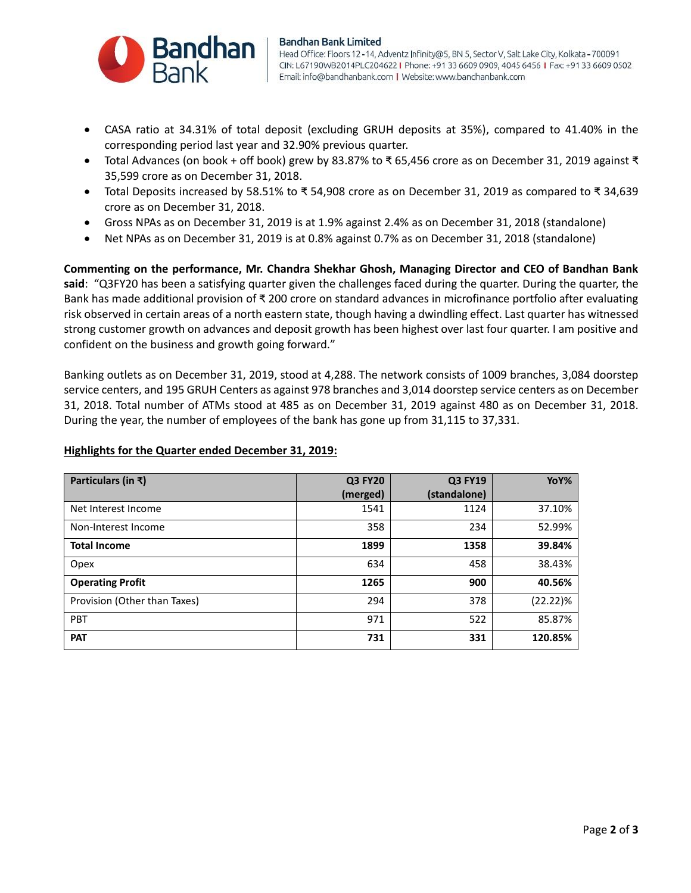

#### **Bandhan Bank Limited**

Head Office: Floors 12-14, Adventz Infinity@5, BN 5, Sector V, Salt Lake City, Kolkata-700091 CIN: L67190WB2014PLC204622 | Phone: +91 33 6609 0909, 4045 6456 | Fax: +91 33 6609 0502 Email: info@bandhanbank.com | Website: www.bandhanbank.com

- CASA ratio at 34.31% of total deposit (excluding GRUH deposits at 35%), compared to 41.40% in the corresponding period last year and 32.90% previous quarter.
- Total Advances (on book + off book) grew by 83.87% to ₹ 65,456 crore as on December 31, 2019 against ₹ 35,599 crore as on December 31, 2018.
- Total Deposits increased by 58.51% to ₹ 54,908 crore as on December 31, 2019 as compared to ₹ 34,639 crore as on December 31, 2018.
- Gross NPAs as on December 31, 2019 is at 1.9% against 2.4% as on December 31, 2018 (standalone)
- Net NPAs as on December 31, 2019 is at 0.8% against 0.7% as on December 31, 2018 (standalone)

**Commenting on the performance, Mr. Chandra Shekhar Ghosh, Managing Director and CEO of Bandhan Bank said**: "Q3FY20 has been a satisfying quarter given the challenges faced during the quarter. During the quarter, the Bank has made additional provision of ₹ 200 crore on standard advances in microfinance portfolio after evaluating risk observed in certain areas of a north eastern state, though having a dwindling effect. Last quarter has witnessed strong customer growth on advances and deposit growth has been highest over last four quarter. I am positive and confident on the business and growth going forward."

Banking outlets as on December 31, 2019, stood at 4,288. The network consists of 1009 branches, 3,084 doorstep service centers, and 195 GRUH Centers as against 978 branches and 3,014 doorstep service centers as on December 31, 2018. Total number of ATMs stood at 485 as on December 31, 2019 against 480 as on December 31, 2018. During the year, the number of employees of the bank has gone up from 31,115 to 37,331.

| Particulars (in ₹)           | <b>Q3 FY20</b> | <b>Q3 FY19</b> | YoY%     |
|------------------------------|----------------|----------------|----------|
|                              | (merged)       | (standalone)   |          |
| Net Interest Income          | 1541           | 1124           | 37.10%   |
| Non-Interest Income          | 358            | 234            | 52.99%   |
| <b>Total Income</b>          | 1899           | 1358           | 39.84%   |
| Opex                         | 634            | 458            | 38.43%   |
| <b>Operating Profit</b>      | 1265           | 900            | 40.56%   |
| Provision (Other than Taxes) | 294            | 378            | (22.22)% |
| <b>PBT</b>                   | 971            | 522            | 85.87%   |
| <b>PAT</b>                   | 731            | 331            | 120.85%  |

### **Highlights for the Quarter ended December 31, 2019:**